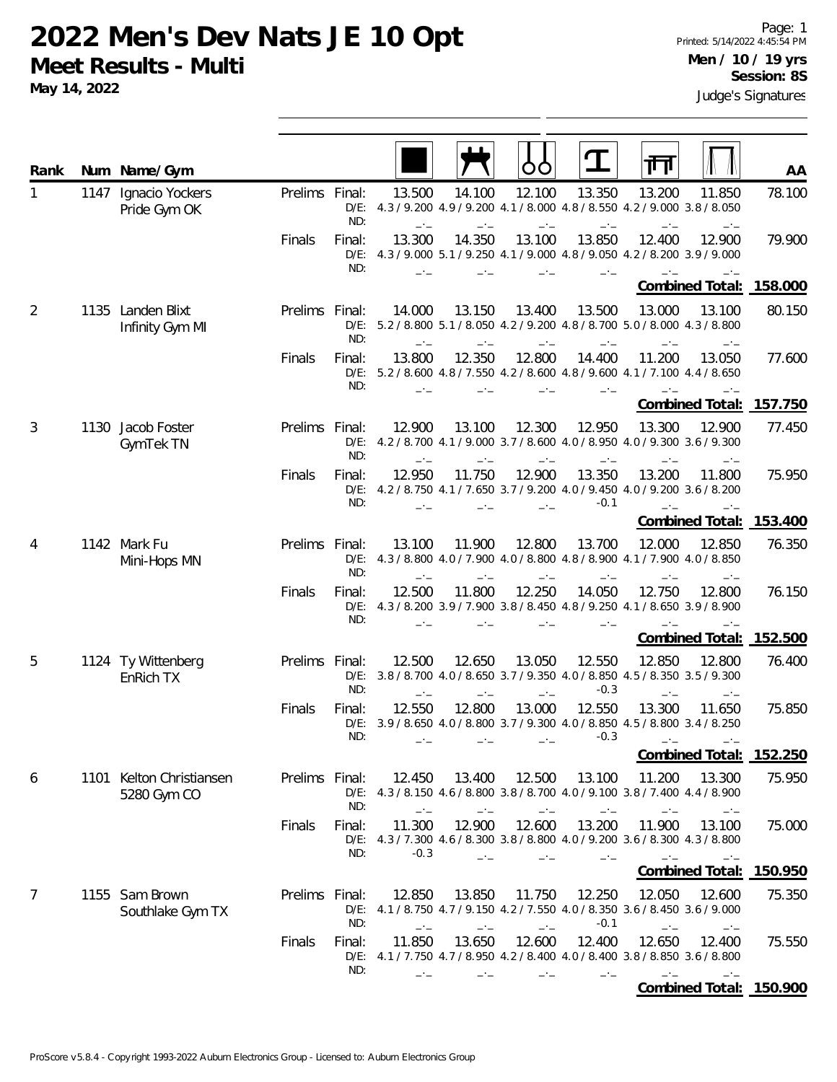**May 14, 2022**

| Rank |      | Num Name/Gym                            |                |                          |                  |                |                |                  | 而                                                                                              |                        | AA                      |
|------|------|-----------------------------------------|----------------|--------------------------|------------------|----------------|----------------|------------------|------------------------------------------------------------------------------------------------|------------------------|-------------------------|
| 1    | 1147 | Ignacio Yockers<br>Pride Gym OK         | Prelims Final: | ND:                      | 13.500           | 14.100         | 12.100         | 13.350           | 13.200<br>D/E: 4.3 / 9.200 4.9 / 9.200 4.1 / 8.000 4.8 / 8.550 4.2 / 9.000 3.8 / 8.050         | 11.850                 | 78.100                  |
|      |      |                                         | Finals         | Final:<br>$D/E$ :<br>ND: | 13.300           | 14.350         | 13.100         | 13.850<br>$-1$   | 12.400<br>4.3/9.000 5.1/9.250 4.1/9.000 4.8/9.050 4.2/8.200 3.9/9.000                          | 12.900                 | 79.900                  |
|      |      |                                         |                |                          |                  |                |                |                  |                                                                                                |                        | Combined Total: 158.000 |
| 2    |      | 1135 Landen Blixt<br>Infinity Gym MI    | Prelims Final: | $D/E$ :<br>ND:           | 14.000           | 13.150         | 13.400         | 13.500           | 13.000<br>5.2 / 8.800 5.1 / 8.050 4.2 / 9.200 4.8 / 8.700 5.0 / 8.000 4.3 / 8.800              | 13.100<br>$-1$         | 80.150                  |
|      |      |                                         | Finals         | Final:<br>ND:            | 13.800           | 12.350         | 12.800         | 14.400           | 11.200<br>D/E: 5.2 / 8.600 4.8 / 7.550 4.2 / 8.600 4.8 / 9.600 4.1 / 7.100 4.4 / 8.650         | 13.050                 | 77.600                  |
|      |      |                                         |                |                          |                  |                |                |                  |                                                                                                | <b>Combined Total:</b> | 157.750                 |
| 3    |      | 1130 Jacob Foster<br>GymTek TN          | Prelims Final: | $D/E$ :<br>ND:           | 12.900           | 13.100         | 12.300         | 12.950           | 13.300<br>4.2 / 8.700 4.1 / 9.000 3.7 / 8.600 4.0 / 8.950 4.0 / 9.300 3.6 / 9.300              | 12.900                 | 77.450                  |
|      |      |                                         | Finals         | Final:<br>$D/E$ :<br>ND: | 12.950           | 11.750         | 12.900         | 13.350<br>$-0.1$ | 13.200<br>4.2 / 8.750 4.1 / 7.650 3.7 / 9.200 4.0 / 9.450 4.0 / 9.200 3.6 / 8.200              | 11.800                 | 75.950                  |
|      |      |                                         |                |                          |                  |                |                |                  |                                                                                                | Combined Total:        | 153.400                 |
| 4    |      | 1142 Mark Fu<br>Mini-Hops MN            | Prelims Final: | ND:                      | 13.100<br>$-1$   | 11.900<br>$-1$ | 12.800<br>—*—  | 13.700<br>$-1$   | 12.000<br>D/E: 4.3 / 8.800 4.0 / 7.900 4.0 / 8.800 4.8 / 8.900 4.1 / 7.900 4.0 / 8.850         | 12.850                 | 76.350                  |
|      |      |                                         | Finals         | Final:<br>$D/E$ :<br>ND: | 12.500           | 11.800         | 12.250         | 14.050           | 12.750<br>4.3/8.200 3.9/7.900 3.8/8.450 4.8/9.250 4.1/8.650 3.9/8.900                          | 12.800                 | 76.150                  |
|      |      |                                         |                |                          |                  |                |                |                  |                                                                                                | Combined Total:        | 152.500                 |
| 5    |      | 1124 Ty Wittenberg<br>EnRich TX         | Prelims        | Final:<br>ND:            | 12.500<br>$-1$   | 12.650<br>$-1$ | 13.050<br>$-1$ | 12.550<br>$-0.3$ | 12.850<br>D/E: 3.8 / 8.700 4.0 / 8.650 3.7 / 9.350 4.0 / 8.850 4.5 / 8.350 3.5 / 9.300<br>$-1$ | 12.800<br>$-1$         | 76.400                  |
|      |      |                                         | Finals         | Final:<br>ND:            | 12.550           | 12.800         | 13.000         | 12.550<br>$-0.3$ | 13.300<br>D/E: 3.9 / 8.650 4.0 / 8.800 3.7 / 9.300 4.0 / 8.850 4.5 / 8.800 3.4 / 8.250         | 11.650                 | 75.850                  |
|      |      |                                         |                |                          |                  |                |                |                  |                                                                                                | Combined Total:        | 152.250                 |
| 6    |      | 1101 Kelton Christiansen<br>5280 Gym CO | Prelims Final: | ND:                      | 12.450<br>$-1$   | 13.400         | 12.500         | 13.100           | 11.200<br>D/E: 4.3 / 8.150 4.6 / 8.800 3.8 / 8.700 4.0 / 9.100 3.8 / 7.400 4.4 / 8.900         | 13.300<br>$-1$         | 75.950                  |
|      |      |                                         | Finals         | Final:<br>ND:            | 11.300<br>$-0.3$ | 12.900         | 12.600         | 13.200           | 11.900<br>D/E: 4.3 / 7.300 4.6 / 8.300 3.8 / 8.800 4.0 / 9.200 3.6 / 8.300 4.3 / 8.800         | 13.100<br>$-1$         | 75.000                  |
|      |      |                                         |                |                          |                  |                |                |                  |                                                                                                | Combined Total:        | 150.950                 |
| 7    |      | 1155 Sam Brown<br>Southlake Gym TX      | Prelims Final: | ND:                      | 12.850           | 13.850         | 11.750         | 12.250<br>$-0.1$ | 12.050<br>D/E: 4.1 / 8.750 4.7 / 9.150 4.2 / 7.550 4.0 / 8.350 3.6 / 8.450 3.6 / 9.000         | 12.600                 | 75.350                  |
|      |      |                                         | Finals         | Final:<br>ND:            | 11.850           | 13.650         | 12.600         | 12.400           | 12.650<br>D/E: 4.1 / 7.750 4.7 / 8.950 4.2 / 8.400 4.0 / 8.400 3.8 / 8.850 3.6 / 8.800         | 12.400                 | 75.550                  |
|      |      |                                         |                |                          |                  |                |                |                  |                                                                                                |                        | Combined Total: 150.900 |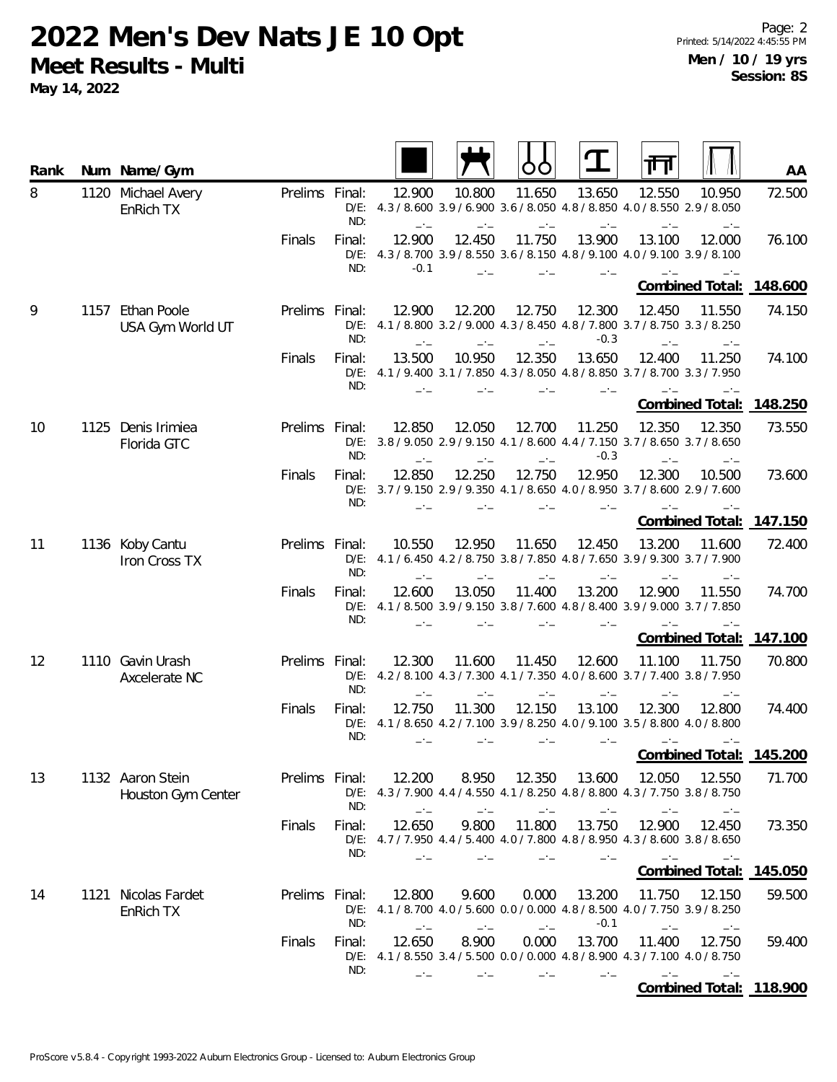| Rank | Num Name/Gym                           |                |                          |                  |                |               |                  |                                                                                                          | AA      |
|------|----------------------------------------|----------------|--------------------------|------------------|----------------|---------------|------------------|----------------------------------------------------------------------------------------------------------|---------|
| 8    | 1120 Michael Avery<br>EnRich TX        | Prelims Final: | ND:                      | 12.900           | 10.800         | 11.650        | 13.650           | 12.550<br>10.950<br>D/E: 4.3 / 8.600 3.9 / 6.900 3.6 / 8.050 4.8 / 8.850 4.0 / 8.550 2.9 / 8.050         | 72.500  |
|      |                                        | Finals         | Final:<br>ND:            | 12.900<br>$-0.1$ | 12.450         | 11.750        | 13.900           | 13.100<br>12.000<br>D/E: 4.3 / 8.700 3.9 / 8.550 3.6 / 8.150 4.8 / 9.100 4.0 / 9.100 3.9 / 8.100         | 76.100  |
|      |                                        |                |                          |                  |                |               |                  | <b>Combined Total:</b>                                                                                   | 148.600 |
| 9    | 1157 Ethan Poole<br>USA Gym World UT   | Prelims Final: | ND:                      | 12.900           | 12.200         | 12.750        | 12.300<br>$-0.3$ | 12.450<br>11.550<br>D/E: 4.1 / 8.800 3.2 / 9.000 4.3 / 8.450 4.8 / 7.800 3.7 / 8.750 3.3 / 8.250         | 74.150  |
|      |                                        | Finals         | Final:<br>ND:            | 13.500           | 10.950         | 12.350        | 13.650           | 12.400<br>11.250<br>D/E: 4.1 / 9.400 3.1 / 7.850 4.3 / 8.050 4.8 / 8.850 3.7 / 8.700 3.3 / 7.950         | 74.100  |
|      |                                        |                |                          |                  |                |               |                  | <b>Combined Total:</b>                                                                                   | 148.250 |
| 10   | 1125 Denis Irimiea<br>Florida GTC      | Prelims Final: | ND:                      | 12.850           | 12.050         | 12.700        | 11.250<br>$-0.3$ | 12.350<br>12.350<br>D/E: 3.8 / 9.050 2.9 / 9.150 4.1 / 8.600 4.4 / 7.150 3.7 / 8.650 3.7 / 8.650         | 73.550  |
|      |                                        | Finals         | Final:<br>ND:            | 12.850           | 12.250         | 12.750        | 12.950           | 12.300<br>10.500<br>D/E: 3.7/9.150 2.9/9.350 4.1/8.650 4.0/8.950 3.7/8.600 2.9/7.600                     | 73.600  |
|      |                                        |                |                          |                  |                |               |                  | Combined Total:                                                                                          | 147.150 |
| 11   | 1136 Koby Cantu<br>Iron Cross TX       | Prelims Final: | ND:                      | 10.550<br>$-1$   | 12.950<br>$-1$ | 11.650        | 12.450<br>$-1$   | 13.200<br>11.600<br>D/E: 4.1 / 6.450 4.2 / 8.750 3.8 / 7.850 4.8 / 7.650 3.9 / 9.300 3.7 / 7.900         | 72.400  |
|      |                                        | Finals         | Final:<br>ND:            | 12.600           | 13.050         | 11.400        | 13.200           | 11.550<br>12.900<br>D/E: 4.1 / 8.500 3.9 / 9.150 3.8 / 7.600 4.8 / 8.400 3.9 / 9.000 3.7 / 7.850         | 74.700  |
|      |                                        |                |                          |                  |                |               |                  | <b>Combined Total:</b>                                                                                   | 147.100 |
| 12   | 1110 Gavin Urash<br>Axcelerate NC      | Prelims Final: | ND:                      | 12.300<br>$-1$   | 11.600<br>$-1$ | 11.450        | 12.600           | 11.100<br>11.750<br>D/E: 4.2 / 8.100 4.3 / 7.300 4.1 / 7.350 4.0 / 8.600 3.7 / 7.400 3.8 / 7.950<br>$-1$ | 70.800  |
|      |                                        | Finals         | Final:<br>$D/E$ :<br>ND: | 12.750           | 11.300         | 12.150        | 13.100<br>$-1$   | 12.300<br>12.800<br>4.1 / 8.650 4.2 / 7.100 3.9 / 8.250 4.0 / 9.100 3.5 / 8.800 4.0 / 8.800<br>$-1$      | 74.400  |
|      |                                        |                |                          |                  |                |               |                  | <u> Combined Total:</u>                                                                                  | 145.200 |
| 13   | 1132 Aaron Stein<br>Houston Gym Center | Prelims Final: | ND:                      | 12.200           | 8.950          | 12.350        | 13.600           | 12.050<br>12.550<br>D/E: 4.3/7.900 4.4/4.550 4.1/8.250 4.8/8.800 4.3/7.750 3.8/8.750                     | 71.700  |
|      |                                        | Finals         | Final:<br>ND:            | 12.650           | 9.800          | 11.800        | 13.750           | 12.900<br>12.450<br>D/E: 4.7 / 7.950 4.4 / 5.400 4.0 / 7.800 4.8 / 8.950 4.3 / 8.600 3.8 / 8.650         | 73.350  |
|      |                                        |                |                          |                  |                |               |                  | Combined Total: 145.050                                                                                  |         |
| 14   | 1121 Nicolas Fardet<br>EnRich TX       | Prelims Final: | ND:                      | 12.800           | 9.600          | 0.000<br>$-1$ | 13.200<br>$-0.1$ | 11.750<br>12.150<br>D/E: 4.1 / 8.700 4.0 / 5.600 0.0 / 0.000 4.8 / 8.500 4.0 / 7.750 3.9 / 8.250         | 59.500  |
|      |                                        | Finals         | Final:<br>ND:            | 12.650           | 8.900          | 0.000         | 13.700           | 11.400<br>12.750<br>D/E: 4.1 / 8.550 3.4 / 5.500 0.0 / 0.000 4.8 / 8.900 4.3 / 7.100 4.0 / 8.750         | 59.400  |
|      |                                        |                |                          |                  |                |               |                  | Combined Total: 118.900                                                                                  |         |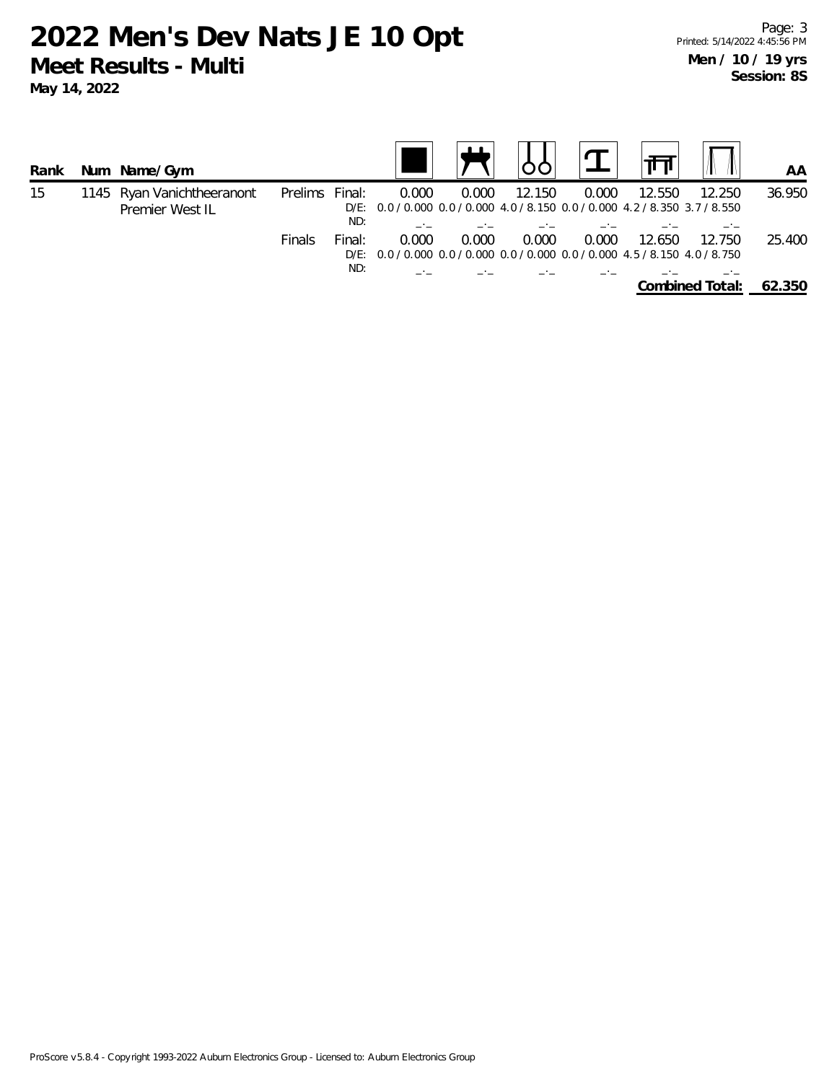| Rank |  | Num Name/Gym                                  |         |               |                                                                                       |       |        |       |        |                 | AA     |
|------|--|-----------------------------------------------|---------|---------------|---------------------------------------------------------------------------------------|-------|--------|-------|--------|-----------------|--------|
| 15   |  | 1145 Ryan Vanichtheeranont<br>Premier West IL | Prelims | Final:<br>ND: | 0.000<br>D/E: 0.0 / 0.000 0.0 / 0.000 4.0 / 8.150 0.0 / 0.000 4.2 / 8.350 3.7 / 8.550 | 0.000 | 12.150 | 0.000 | 12.550 | 12.250          | 36.950 |
|      |  |                                               | Finals  | Final:        | 0.000<br>D/E: 0.0 / 0.000 0.0 / 0.000 0.0 / 0.000 0.0 / 0.000 4.5 / 8.150 4.0 / 8.750 | 0.000 | 0.000  | 0.000 | 12.650 | 12.750          | 25.400 |
|      |  |                                               |         | ND:           |                                                                                       |       |        |       |        | Combined Total: | 62.350 |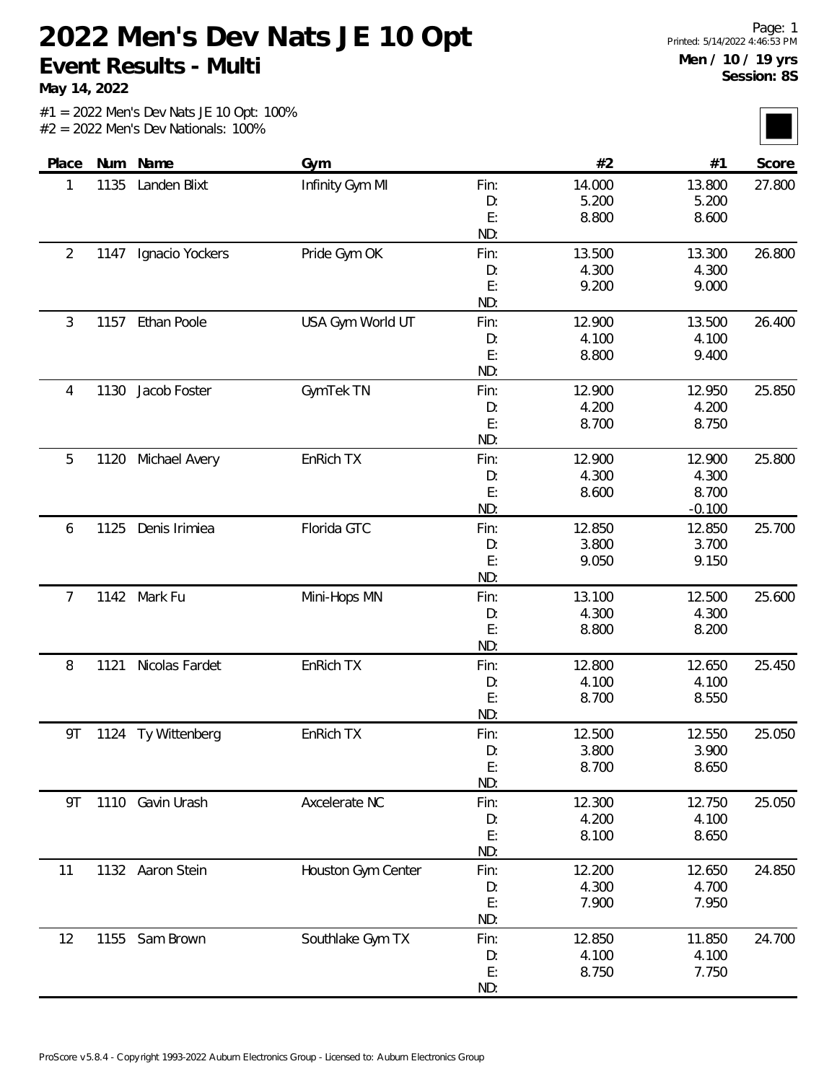**May 14, 2022**

| Place          | Num  | Name               | Gym                |      | #2     | #1       | Score  |
|----------------|------|--------------------|--------------------|------|--------|----------|--------|
| 1              | 1135 | Landen Blixt       | Infinity Gym MI    | Fin: | 14.000 | 13.800   | 27.800 |
|                |      |                    |                    | D:   | 5.200  | 5.200    |        |
|                |      |                    |                    | E:   | 8.800  | 8.600    |        |
|                |      |                    |                    | ND:  |        |          |        |
| $\overline{2}$ | 1147 | Ignacio Yockers    | Pride Gym OK       | Fin: | 13.500 | 13.300   | 26.800 |
|                |      |                    |                    | D:   | 4.300  | 4.300    |        |
|                |      |                    |                    | E:   | 9.200  | 9.000    |        |
|                |      |                    |                    | ND:  |        |          |        |
| 3              | 1157 | Ethan Poole        | USA Gym World UT   | Fin: | 12.900 | 13.500   | 26.400 |
|                |      |                    |                    | D:   | 4.100  | 4.100    |        |
|                |      |                    |                    | E:   | 8.800  | 9.400    |        |
|                |      |                    |                    | ND:  |        |          |        |
| 4              | 1130 | Jacob Foster       | GymTek TN          | Fin: | 12.900 | 12.950   | 25.850 |
|                |      |                    |                    | D:   | 4.200  | 4.200    |        |
|                |      |                    |                    | E:   | 8.700  | 8.750    |        |
|                |      |                    |                    | ND:  |        |          |        |
| 5              | 1120 | Michael Avery      | EnRich TX          | Fin: | 12.900 | 12.900   | 25.800 |
|                |      |                    |                    | D:   | 4.300  | 4.300    |        |
|                |      |                    |                    | E:   | 8.600  | 8.700    |        |
|                |      |                    |                    | ND:  |        | $-0.100$ |        |
| 6              | 1125 | Denis Irimiea      | Florida GTC        | Fin: | 12.850 | 12.850   | 25.700 |
|                |      |                    |                    | D:   | 3.800  | 3.700    |        |
|                |      |                    |                    | E:   | 9.050  | 9.150    |        |
|                |      |                    |                    | ND:  |        |          |        |
| 7              | 1142 | Mark Fu            | Mini-Hops MN       | Fin: | 13.100 | 12.500   | 25.600 |
|                |      |                    |                    | D:   | 4.300  | 4.300    |        |
|                |      |                    |                    | E:   | 8.800  | 8.200    |        |
|                |      |                    |                    | ND:  |        |          |        |
| 8              | 1121 | Nicolas Fardet     | EnRich TX          | Fin: | 12.800 | 12.650   | 25.450 |
|                |      |                    |                    | D:   | 4.100  | 4.100    |        |
|                |      |                    |                    | E:   | 8.700  | 8.550    |        |
|                |      |                    |                    | ND:  |        |          |        |
| 9T             |      | 1124 Ty Wittenberg | EnRich TX          | Fin: | 12.500 | 12.550   | 25.050 |
|                |      |                    |                    | D:   | 3.800  | 3.900    |        |
|                |      |                    |                    | E:   | 8.700  | 8.650    |        |
|                |      |                    |                    | ND:  |        |          |        |
| 9T             |      | 1110 Gavin Urash   | Axcelerate NC      | Fin: | 12.300 | 12.750   | 25.050 |
|                |      |                    |                    | D:   | 4.200  | 4.100    |        |
|                |      |                    |                    | E:   | 8.100  | 8.650    |        |
|                |      |                    |                    | ND:  |        |          |        |
| 11             |      | 1132 Aaron Stein   | Houston Gym Center | Fin: | 12.200 | 12.650   | 24.850 |
|                |      |                    |                    | D:   | 4.300  | 4.700    |        |
|                |      |                    |                    | E:   | 7.900  | 7.950    |        |
|                |      |                    |                    | ND:  |        |          |        |
| 12             |      | 1155 Sam Brown     | Southlake Gym TX   | Fin: | 12.850 | 11.850   | 24.700 |
|                |      |                    |                    | D:   | 4.100  | 4.100    |        |
|                |      |                    |                    | E:   | 8.750  | 7.750    |        |
|                |      |                    |                    | ND:  |        |          |        |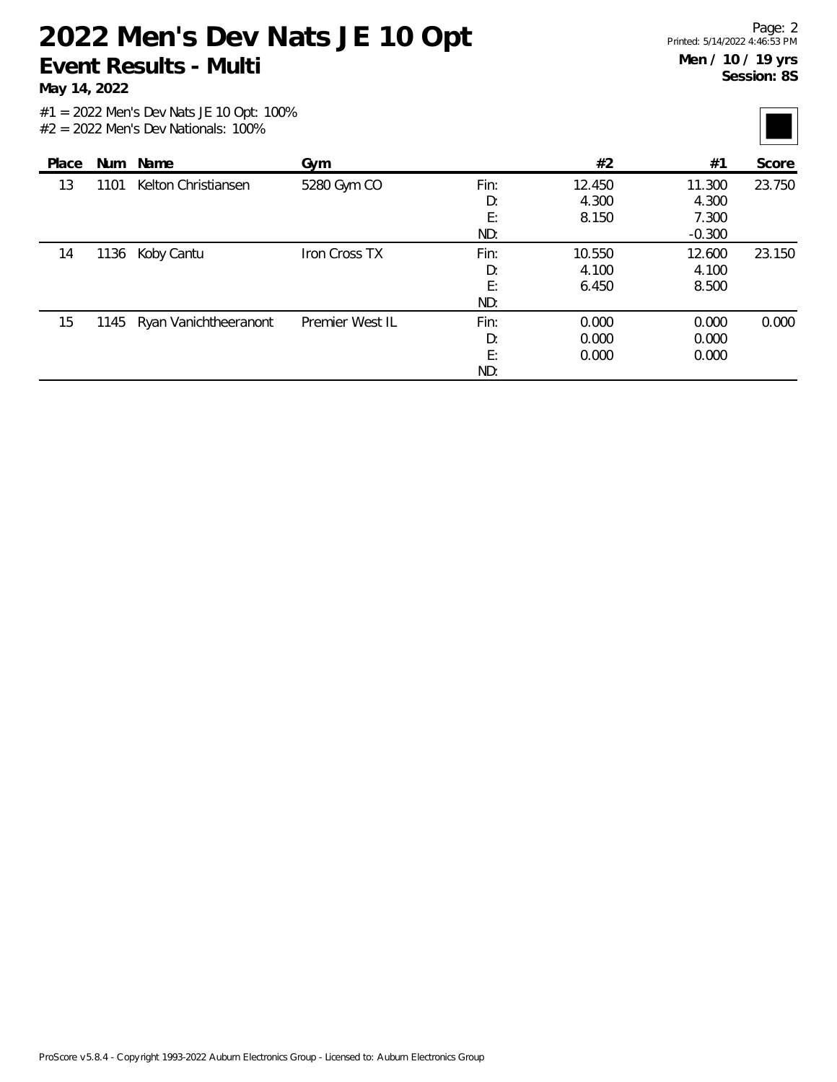**May 14, 2022**

| Place |      | Num Name                   | Gym             |                         | #2                       | #1                                   | Score  |
|-------|------|----------------------------|-----------------|-------------------------|--------------------------|--------------------------------------|--------|
| 13    | 1101 | Kelton Christiansen        | 5280 Gym CO     | Fin:<br>D:<br>E:<br>ND: | 12.450<br>4.300<br>8.150 | 11.300<br>4.300<br>7.300<br>$-0.300$ | 23.750 |
| 14    | 1136 | Koby Cantu                 | Iron Cross TX   | Fin:<br>D:<br>E:<br>ND: | 10.550<br>4.100<br>6.450 | 12.600<br>4.100<br>8.500             | 23.150 |
| 15    |      | 1145 Ryan Vanichtheeranont | Premier West IL | Fin:<br>D:<br>E:<br>ND: | 0.000<br>0.000<br>0.000  | 0.000<br>0.000<br>0.000              | 0.000  |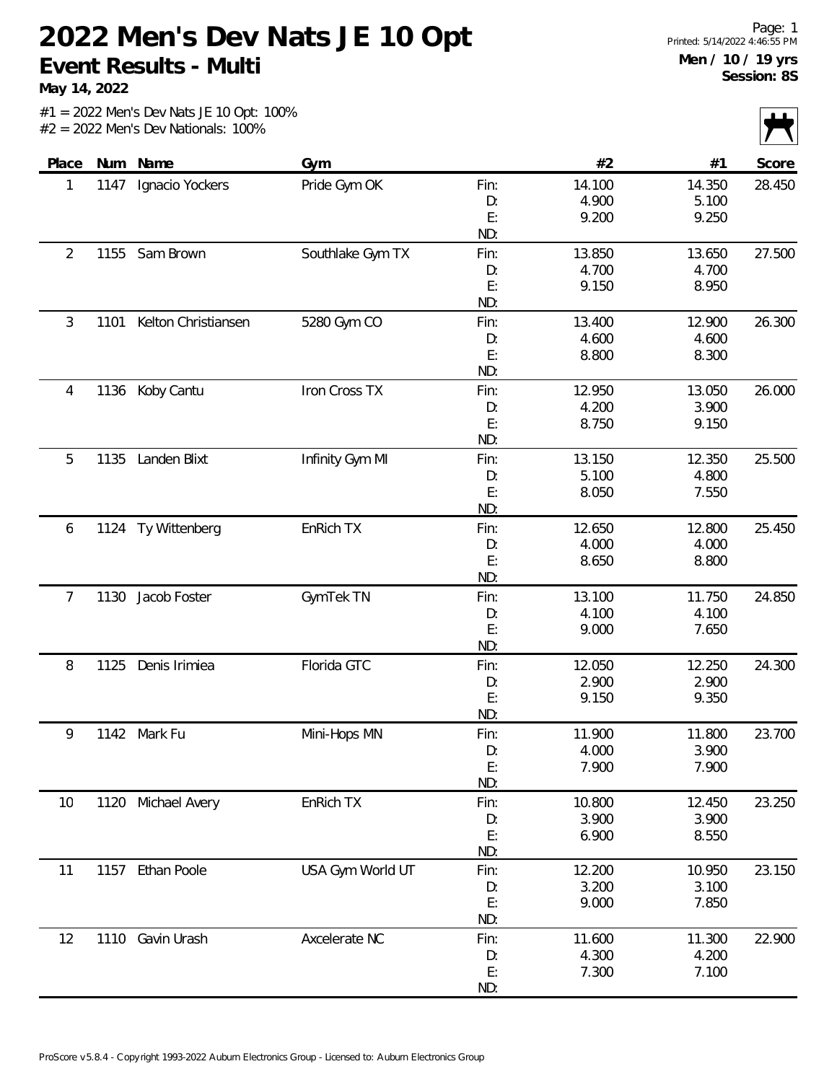**May 14, 2022**

|       |      |                     |                  |           |                |                | $\mathbf{r}$<br>$\mathbf{v}$ |
|-------|------|---------------------|------------------|-----------|----------------|----------------|------------------------------|
| Place | Num  | Name                | Gym              |           | #2             | #1             | Score                        |
| 1     | 1147 | Ignacio Yockers     | Pride Gym OK     | Fin:      | 14.100         | 14.350         | 28.450                       |
|       |      |                     |                  | D:        | 4.900          | 5.100          |                              |
|       |      |                     |                  | E:        | 9.200          | 9.250          |                              |
|       |      |                     |                  | ND:       |                |                |                              |
| 2     | 1155 | Sam Brown           | Southlake Gym TX | Fin:      | 13.850         | 13.650         | 27.500                       |
|       |      |                     |                  | D:        | 4.700          | 4.700          |                              |
|       |      |                     |                  | E:        | 9.150          | 8.950          |                              |
|       |      |                     |                  | ND:       |                |                |                              |
| 3     | 1101 | Kelton Christiansen | 5280 Gym CO      | Fin:      | 13.400         | 12.900         | 26.300                       |
|       |      |                     |                  | D:        | 4.600          | 4.600          |                              |
|       |      |                     |                  | E:        | 8.800          | 8.300          |                              |
|       |      |                     |                  | ND:       |                |                |                              |
| 4     | 1136 | Koby Cantu          | Iron Cross TX    | Fin:      | 12.950         | 13.050         | 26.000                       |
|       |      |                     |                  | D:        | 4.200          | 3.900          |                              |
|       |      |                     |                  | E:        | 8.750          | 9.150          |                              |
|       |      |                     |                  | ND:       |                |                |                              |
| 5     | 1135 | Landen Blixt        | Infinity Gym MI  | Fin:      | 13.150         | 12.350         | 25.500                       |
|       |      |                     |                  | D:        | 5.100          | 4.800          |                              |
|       |      |                     |                  | E:        | 8.050          | 7.550          |                              |
|       |      |                     |                  | ND:       |                |                |                              |
| 6     | 1124 | Ty Wittenberg       | EnRich TX        | Fin:      | 12.650         | 12.800         | 25.450                       |
|       |      |                     |                  | D:        | 4.000          | 4.000          |                              |
|       |      |                     |                  | E:<br>ND: | 8.650          | 8.800          |                              |
|       |      |                     |                  |           |                |                |                              |
| 7     | 1130 | Jacob Foster        | GymTek TN        | Fin:      | 13.100         | 11.750         | 24.850                       |
|       |      |                     |                  | D:<br>E:  | 4.100<br>9.000 | 4.100<br>7.650 |                              |
|       |      |                     |                  | ND:       |                |                |                              |
| 8     | 1125 | Denis Irimiea       | Florida GTC      | Fin:      | 12.050         | 12.250         | 24.300                       |
|       |      |                     |                  | D:        | 2.900          | 2.900          |                              |
|       |      |                     |                  | E:        | 9.150          | 9.350          |                              |
|       |      |                     |                  | ND:       |                |                |                              |
| 9     |      | 1142 Mark Fu        | Mini-Hops MN     | Fin:      | 11.900         | 11.800         | 23.700                       |
|       |      |                     |                  | D:        | 4.000          | 3.900          |                              |
|       |      |                     |                  | E:        | 7.900          | 7.900          |                              |
|       |      |                     |                  | ND:       |                |                |                              |
| 10    |      | 1120 Michael Avery  | EnRich TX        | Fin:      | 10.800         | 12.450         | 23.250                       |
|       |      |                     |                  | D:        | 3.900          | 3.900          |                              |
|       |      |                     |                  | E:        | 6.900          | 8.550          |                              |
|       |      |                     |                  | ND:       |                |                |                              |
| 11    |      | 1157 Ethan Poole    | USA Gym World UT | Fin:      | 12.200         | 10.950         | 23.150                       |
|       |      |                     |                  | D:        | 3.200          | 3.100          |                              |
|       |      |                     |                  | E:        | 9.000          | 7.850          |                              |
|       |      |                     |                  | ND:       |                |                |                              |
| 12    | 1110 | Gavin Urash         | Axcelerate NC    | Fin:      | 11.600         | 11.300         | 22.900                       |
|       |      |                     |                  | D:        | 4.300          | 4.200          |                              |
|       |      |                     |                  | E:        | 7.300          | 7.100          |                              |
|       |      |                     |                  | ND:       |                |                |                              |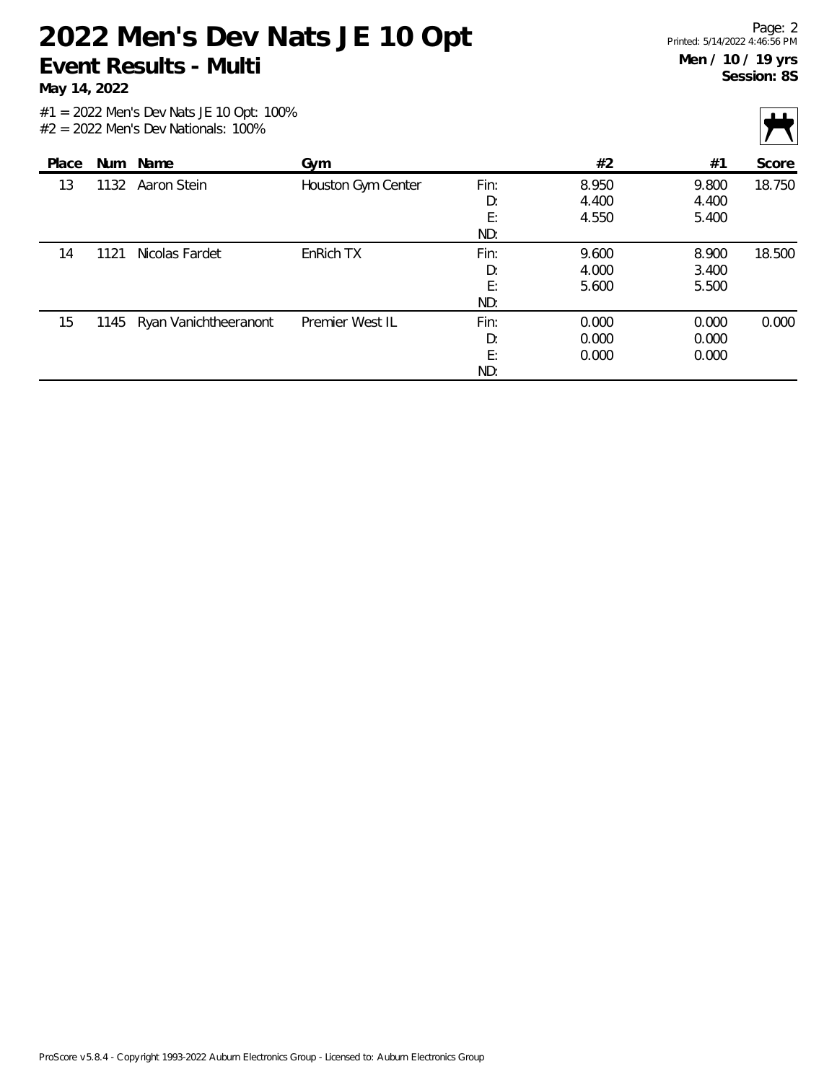**May 14, 2022**

|       |      |                            |                    |                         |                         |                         | $\mathbf{r}$ $\mathbf{v}$ |
|-------|------|----------------------------|--------------------|-------------------------|-------------------------|-------------------------|---------------------------|
| Place |      | Num Name                   | Gym                |                         | #2                      | #1                      | Score                     |
| 13    | 1132 | Aaron Stein                | Houston Gym Center | Fin:<br>D:              | 8.950<br>4.400          | 9.800<br>4.400          | 18.750                    |
|       |      |                            |                    | E:<br>ND:               | 4.550                   | 5.400                   |                           |
| 14    | 1121 | Nicolas Fardet             | EnRich TX          | Fin:<br>D:<br>E:<br>ND: | 9.600<br>4.000<br>5.600 | 8.900<br>3.400<br>5.500 | 18.500                    |
| 15    |      | 1145 Ryan Vanichtheeranont | Premier West IL    | Fin:<br>D:<br>E:<br>ND: | 0.000<br>0.000<br>0.000 | 0.000<br>0.000<br>0.000 | 0.000                     |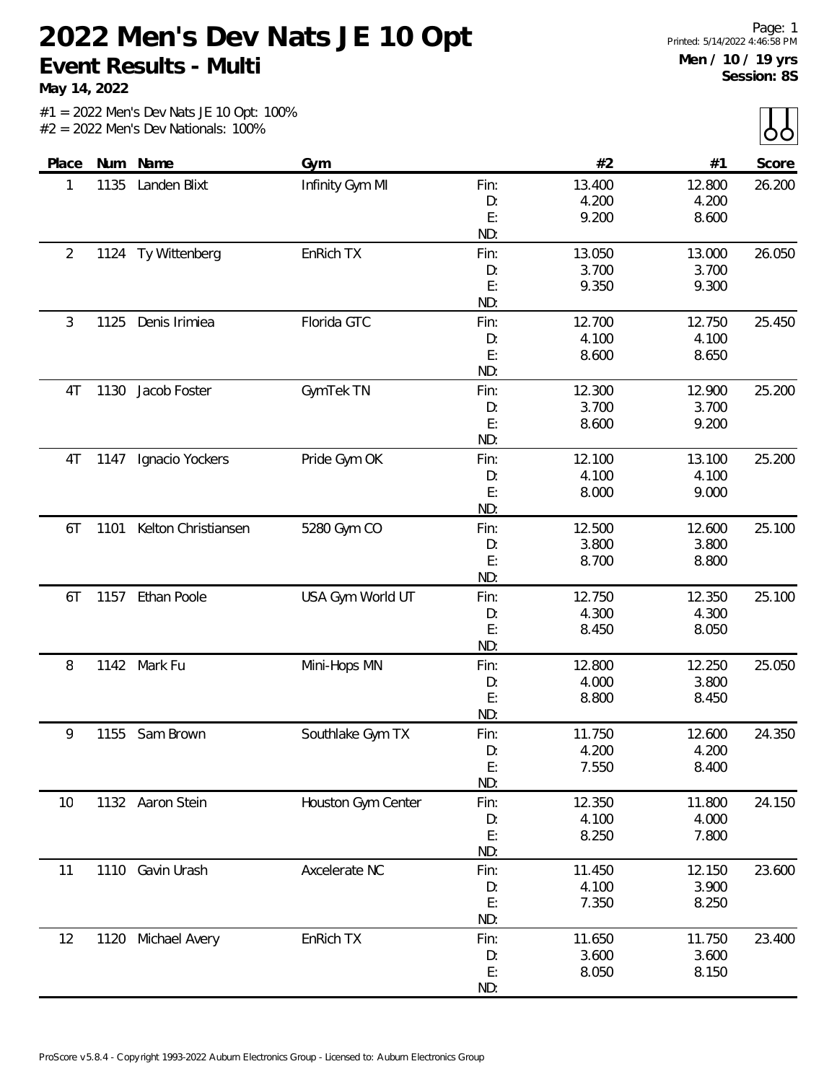**May 14, 2022**

|  |  |  |                                       | $#1 = 2022$ Men's Dev Nats JE 10 Opt: 100% |
|--|--|--|---------------------------------------|--------------------------------------------|
|  |  |  | $#2 = 2022$ Men's Dev Nationals: 100% |                                            |

| Place          |              | Num Name            | Gym                |        | #2     | #1     | Score  |
|----------------|--------------|---------------------|--------------------|--------|--------|--------|--------|
| 1              | 1135         | Landen Blixt        | Infinity Gym MI    | Fin:   | 13.400 | 12.800 | 26.200 |
|                |              |                     |                    | D:     | 4.200  | 4.200  |        |
|                |              |                     |                    | E:     | 9.200  | 8.600  |        |
|                |              |                     |                    | ND:    |        |        |        |
| $\overline{2}$ |              | 1124 Ty Wittenberg  | EnRich TX          | Fin:   | 13.050 | 13.000 | 26.050 |
|                |              |                     |                    | D:     | 3.700  | 3.700  |        |
|                |              |                     |                    | E:     | 9.350  | 9.300  |        |
|                |              |                     |                    | ND:    |        |        |        |
| $\mathfrak{Z}$ | 1125         | Denis Irimiea       | Florida GTC        | Fin:   | 12.700 | 12.750 | 25.450 |
|                |              |                     |                    | D:     | 4.100  | 4.100  |        |
|                |              |                     |                    | E:     | 8.600  | 8.650  |        |
|                |              |                     |                    | ND:    |        |        |        |
| 1130<br>4T     | Jacob Foster | GymTek TN           | Fin:               | 12.300 | 12.900 | 25.200 |        |
|                |              |                     | D:                 | 3.700  | 3.700  |        |        |
|                |              |                     |                    | E:     | 8.600  | 9.200  |        |
|                |              |                     |                    | ND:    |        |        |        |
| 4T             | 1147         | Ignacio Yockers     | Pride Gym OK       | Fin:   | 12.100 | 13.100 | 25.200 |
|                |              |                     |                    | D:     | 4.100  | 4.100  |        |
|                |              |                     |                    | E:     | 8.000  | 9.000  |        |
|                |              |                     |                    | ND:    |        |        |        |
| 6T             | 1101         | Kelton Christiansen | 5280 Gym CO        | Fin:   | 12.500 | 12.600 | 25.100 |
|                |              |                     |                    | D:     | 3.800  | 3.800  |        |
|                |              |                     |                    | E:     | 8.700  | 8.800  |        |
|                |              |                     |                    | ND:    |        |        |        |
| 6T             | 1157         | <b>Ethan Poole</b>  | USA Gym World UT   | Fin:   | 12.750 | 12.350 | 25.100 |
|                |              |                     |                    | D:     | 4.300  | 4.300  |        |
|                |              |                     |                    | E:     | 8.450  | 8.050  |        |
|                |              |                     |                    | ND:    |        |        |        |
| 8              | 1142         | Mark Fu             | Mini-Hops MN       | Fin:   | 12.800 | 12.250 | 25.050 |
|                |              |                     |                    | D:     | 4.000  | 3.800  |        |
|                |              |                     |                    | E:     | 8.800  | 8.450  |        |
|                |              |                     |                    | ND:    |        |        |        |
| 9              | 1155         | Sam Brown           | Southlake Gym TX   | Fin:   | 11.750 | 12.600 | 24.350 |
|                |              |                     |                    | D:     | 4.200  | 4.200  |        |
|                |              |                     |                    | E:     | 7.550  | 8.400  |        |
|                |              |                     |                    | ND:    |        |        |        |
| 10             |              | 1132 Aaron Stein    | Houston Gym Center | Fin:   | 12.350 | 11.800 | 24.150 |
|                |              |                     |                    | D:     | 4.100  | 4.000  |        |
|                |              |                     |                    | E:     | 8.250  | 7.800  |        |
|                |              |                     |                    | ND:    |        |        |        |
| 11             | 1110         | Gavin Urash         | Axcelerate NC      | Fin:   | 11.450 | 12.150 | 23.600 |
|                |              |                     |                    | D:     | 4.100  | 3.900  |        |
|                |              |                     |                    | E:     | 7.350  | 8.250  |        |
|                |              |                     |                    | ND:    |        |        |        |
| 12             | 1120         | Michael Avery       | EnRich TX          | Fin:   | 11.650 | 11.750 | 23.400 |
|                |              |                     |                    | D:     | 3.600  | 3.600  |        |
|                |              |                     |                    | E:     | 8.050  | 8.150  |        |
|                |              |                     |                    | ND:    |        |        |        |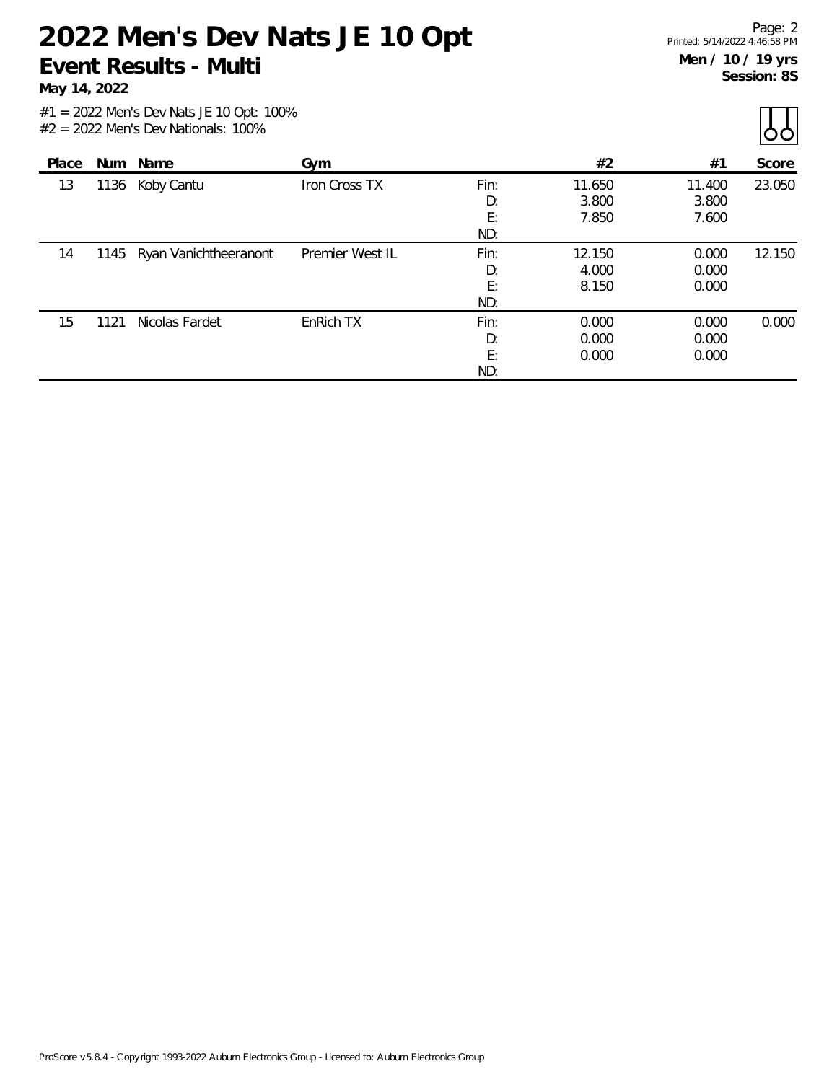**May 14, 2022**

| Place |      | Num Name                   | Gym             |                         | #2                       | #1                       | Score  |
|-------|------|----------------------------|-----------------|-------------------------|--------------------------|--------------------------|--------|
| 13    | 1136 | Koby Cantu                 | Iron Cross TX   | Fin:<br>D:<br>E:<br>ND: | 11.650<br>3.800<br>7.850 | 11.400<br>3.800<br>7.600 | 23.050 |
| 14    |      | 1145 Ryan Vanichtheeranont | Premier West IL | Fin:<br>D:<br>E:<br>ND: | 12.150<br>4.000<br>8.150 | 0.000<br>0.000<br>0.000  | 12.150 |
| 15    | 1121 | Nicolas Fardet             | EnRich TX       | Fin:<br>D:<br>E:<br>ND: | 0.000<br>0.000<br>0.000  | 0.000<br>0.000<br>0.000  | 0.000  |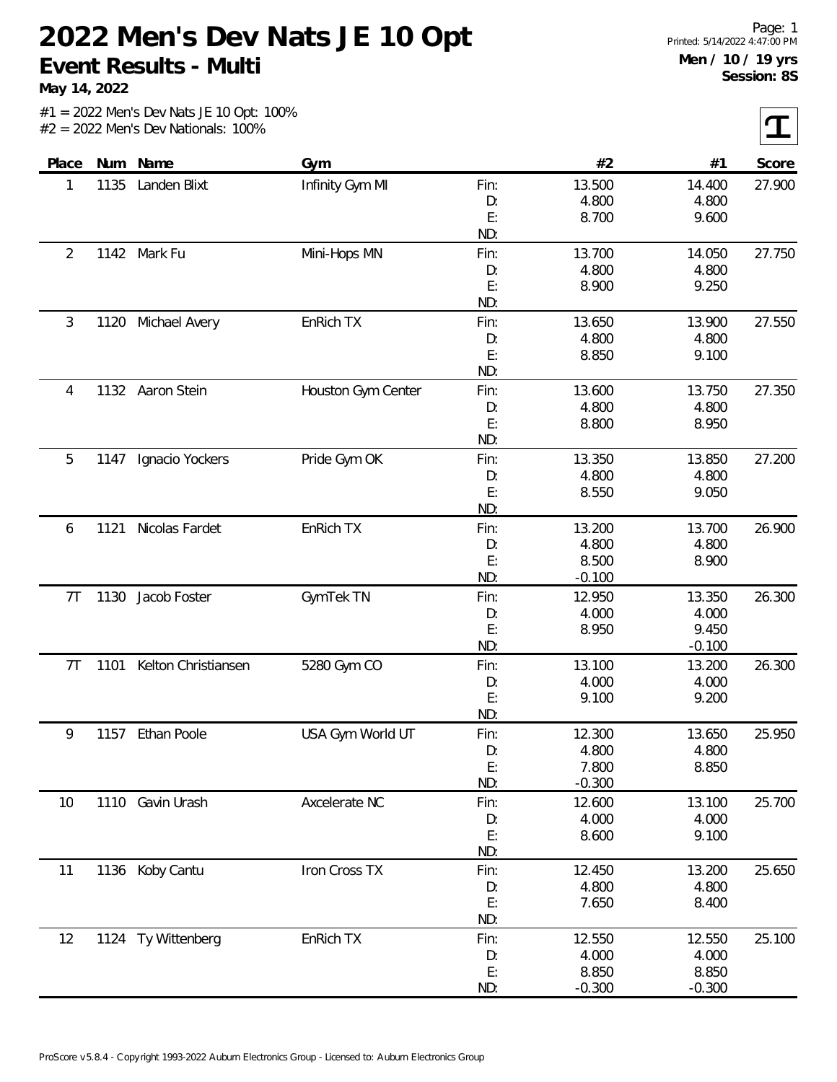**May 14, 2022**

 $|\mathbf{T}|$ 

| Place          |      | Num Name            | Gym                |      | #2       | #1       | Score  |
|----------------|------|---------------------|--------------------|------|----------|----------|--------|
| 1              | 1135 | Landen Blixt        | Infinity Gym MI    | Fin: | 13.500   | 14.400   | 27.900 |
|                |      |                     |                    | D:   | 4.800    | 4.800    |        |
|                |      |                     |                    | E:   | 8.700    | 9.600    |        |
|                |      |                     |                    | ND:  |          |          |        |
| 2              |      | 1142 Mark Fu        | Mini-Hops MN       | Fin: | 13.700   | 14.050   | 27.750 |
|                |      |                     |                    | D:   | 4.800    | 4.800    |        |
|                |      |                     |                    | E:   | 8.900    | 9.250    |        |
|                |      |                     |                    | ND:  |          |          |        |
| 3              | 1120 | Michael Avery       | EnRich TX          | Fin: | 13.650   | 13.900   | 27.550 |
|                |      |                     |                    | D:   | 4.800    | 4.800    |        |
|                |      |                     |                    | E:   | 8.850    | 9.100    |        |
|                |      |                     |                    | ND:  |          |          |        |
| 4              |      | 1132 Aaron Stein    | Houston Gym Center | Fin: | 13.600   | 13.750   | 27.350 |
|                |      |                     |                    | D:   | 4.800    | 4.800    |        |
|                |      |                     |                    | E:   | 8.800    | 8.950    |        |
|                |      |                     |                    | ND:  |          |          |        |
| 5              | 1147 | Ignacio Yockers     | Pride Gym OK       | Fin: | 13.350   | 13.850   | 27.200 |
|                |      |                     |                    | D:   | 4.800    | 4.800    |        |
|                |      |                     |                    | E:   | 8.550    | 9.050    |        |
|                |      |                     |                    | ND:  |          |          |        |
| 6              | 1121 | Nicolas Fardet      | EnRich TX          | Fin: | 13.200   | 13.700   | 26.900 |
|                |      |                     |                    | D:   | 4.800    | 4.800    |        |
|                |      |                     |                    | E:   | 8.500    | 8.900    |        |
|                |      |                     |                    | ND:  | $-0.100$ |          |        |
| 7T             | 1130 | Jacob Foster        | <b>GymTek TN</b>   | Fin: | 12.950   | 13.350   | 26.300 |
|                |      |                     |                    | D:   | 4.000    | 4.000    |        |
|                |      |                     |                    | E:   | 8.950    | 9.450    |        |
|                |      |                     |                    | ND:  |          | $-0.100$ |        |
| 7 <sub>T</sub> | 1101 | Kelton Christiansen | 5280 Gym CO        | Fin: | 13.100   | 13.200   | 26.300 |
|                |      |                     |                    | D:   | 4.000    | 4.000    |        |
|                |      |                     |                    | E:   | 9.100    | 9.200    |        |
|                |      |                     |                    | ND:  |          |          |        |
| 9              | 1157 | Ethan Poole         | USA Gym World UT   | Fin: | 12.300   | 13.650   | 25.950 |
|                |      |                     |                    | D:   | 4.800    | 4.800    |        |
|                |      |                     |                    | E:   | 7.800    | 8.850    |        |
|                |      |                     |                    | ND:  | $-0.300$ |          |        |
| 10             |      | 1110 Gavin Urash    | Axcelerate NC      | Fin: | 12.600   | 13.100   | 25.700 |
|                |      |                     |                    | D:   | 4.000    | 4.000    |        |
|                |      |                     |                    | E:   | 8.600    | 9.100    |        |
|                |      |                     |                    | ND:  |          |          |        |
| 11             |      | 1136 Koby Cantu     | Iron Cross TX      | Fin: | 12.450   | 13.200   | 25.650 |
|                |      |                     |                    | D:   | 4.800    | 4.800    |        |
|                |      |                     |                    | E:   | 7.650    | 8.400    |        |
|                |      |                     |                    | ND:  |          |          |        |
| 12             |      | 1124 Ty Wittenberg  | EnRich TX          | Fin: | 12.550   | 12.550   | 25.100 |
|                |      |                     |                    | D:   | 4.000    | 4.000    |        |
|                |      |                     |                    | E:   | 8.850    | 8.850    |        |
|                |      |                     |                    | ND:  | $-0.300$ | $-0.300$ |        |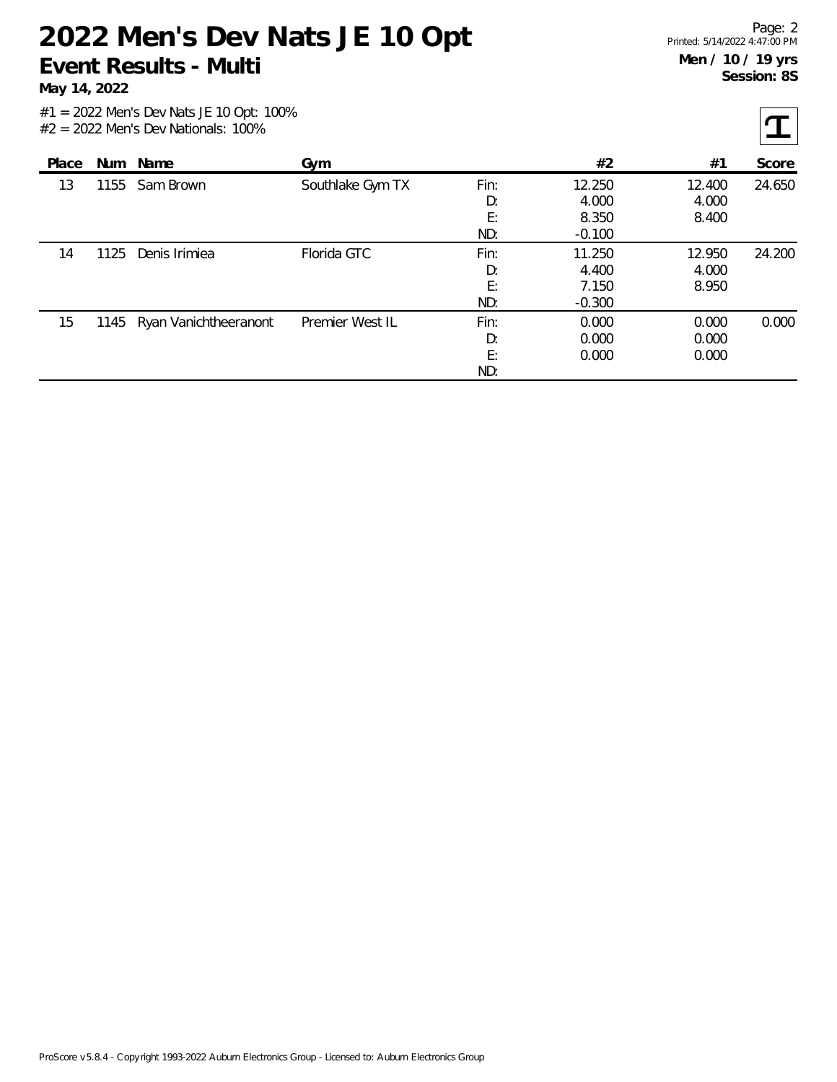**May 14, 2022**

 $|\mathbf{T}|$ 

| Place |      | Num Name                   | Gym              |                         | #2                                   | #1                       | Score  |
|-------|------|----------------------------|------------------|-------------------------|--------------------------------------|--------------------------|--------|
| 13    | 1155 | Sam Brown                  | Southlake Gym TX | Fin:<br>D:<br>E:<br>ND: | 12.250<br>4.000<br>8.350<br>$-0.100$ | 12.400<br>4.000<br>8.400 | 24.650 |
| 14    | 1125 | Denis Irimiea              | Florida GTC      | Fin:<br>D:<br>E:<br>ND: | 11.250<br>4.400<br>7.150<br>$-0.300$ | 12.950<br>4.000<br>8.950 | 24.200 |
| 15    |      | 1145 Ryan Vanichtheeranont | Premier West IL  | Fin:<br>D:<br>E:<br>ND: | 0.000<br>0.000<br>0.000              | 0.000<br>0.000<br>0.000  | 0.000  |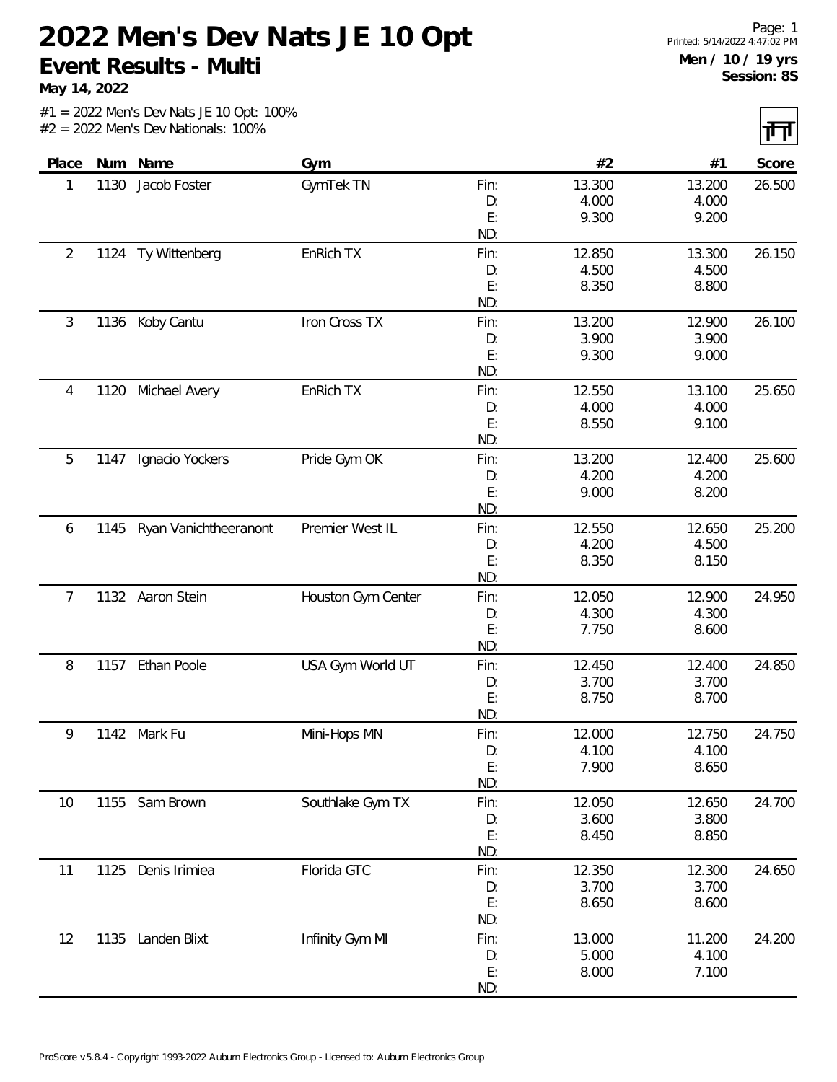**May 14, 2022**

|  |                                       |  |  | $#1 = 2022$ Men's Dev Nats JE 10 Opt: 100% |  |
|--|---------------------------------------|--|--|--------------------------------------------|--|
|  | $#2 = 2022$ Men's Dev Nationals: 100% |  |  |                                            |  |

| Place          |      | Num Name              | Gym                |           | #2     | #1     | Score  |
|----------------|------|-----------------------|--------------------|-----------|--------|--------|--------|
| 1              | 1130 | Jacob Foster          | GymTek TN          | Fin:      | 13.300 | 13.200 | 26.500 |
|                |      |                       |                    | D:        | 4.000  | 4.000  |        |
|                |      |                       |                    | E:        | 9.300  | 9.200  |        |
|                |      |                       |                    | ND:       |        |        |        |
| $\overline{2}$ |      | 1124 Ty Wittenberg    | EnRich TX          | Fin:      | 12.850 | 13.300 | 26.150 |
|                |      |                       |                    | D:        | 4.500  | 4.500  |        |
|                |      |                       |                    | E:        | 8.350  | 8.800  |        |
|                |      |                       |                    | ND:       |        |        |        |
| 3              |      | 1136 Koby Cantu       | Iron Cross TX      | Fin:      | 13.200 | 12.900 | 26.100 |
|                |      |                       |                    | D:        | 3.900  | 3.900  |        |
|                |      |                       |                    | E:<br>ND: | 9.300  | 9.000  |        |
| 4              | 1120 | Michael Avery         | EnRich TX          | Fin:      | 12.550 | 13.100 | 25.650 |
|                |      |                       |                    | D:        | 4.000  | 4.000  |        |
|                |      |                       |                    | E:        | 8.550  | 9.100  |        |
|                |      |                       |                    | ND:       |        |        |        |
| 5              | 1147 | Ignacio Yockers       | Pride Gym OK       | Fin:      | 13.200 | 12.400 | 25.600 |
|                |      |                       |                    | D:        | 4.200  | 4.200  |        |
|                |      |                       |                    | E:        | 9.000  | 8.200  |        |
|                |      |                       |                    | ND:       |        |        |        |
| 6              | 1145 | Ryan Vanichtheeranont | Premier West IL    | Fin:      | 12.550 | 12.650 | 25.200 |
|                |      |                       |                    | D:        | 4.200  | 4.500  |        |
|                |      |                       |                    | E:        | 8.350  | 8.150  |        |
|                |      |                       |                    | ND:       |        |        |        |
| 7              |      | 1132 Aaron Stein      | Houston Gym Center | Fin:      | 12.050 | 12.900 | 24.950 |
|                |      |                       |                    | D:        | 4.300  | 4.300  |        |
|                |      |                       |                    | E:<br>ND: | 7.750  | 8.600  |        |
| 8              | 1157 | Ethan Poole           | USA Gym World UT   | Fin:      | 12.450 | 12.400 | 24.850 |
|                |      |                       |                    | D:        | 3.700  | 3.700  |        |
|                |      |                       |                    | E:        | 8.750  | 8.700  |        |
|                |      |                       |                    | ND:       |        |        |        |
| 9              |      | 1142 Mark Fu          | Mini-Hops MN       | Fin:      | 12.000 | 12.750 | 24.750 |
|                |      |                       |                    | D:        | 4.100  | 4.100  |        |
|                |      |                       |                    | E:        | 7.900  | 8.650  |        |
|                |      |                       |                    | ND:       |        |        |        |
| 10             |      | 1155 Sam Brown        | Southlake Gym TX   | Fin:      | 12.050 | 12.650 | 24.700 |
|                |      |                       |                    | D:        | 3.600  | 3.800  |        |
|                |      |                       |                    | E:        | 8.450  | 8.850  |        |
|                |      |                       |                    | ND:       |        |        |        |
| 11             | 1125 | Denis Irimiea         | Florida GTC        | Fin:      | 12.350 | 12.300 | 24.650 |
|                |      |                       |                    | D:        | 3.700  | 3.700  |        |
|                |      |                       |                    | E:<br>ND: | 8.650  | 8.600  |        |
| 12             |      | 1135 Landen Blixt     | Infinity Gym MI    | Fin:      | 13.000 | 11.200 | 24.200 |
|                |      |                       |                    | D:        | 5.000  | 4.100  |        |
|                |      |                       |                    | E:        | 8.000  | 7.100  |        |
|                |      |                       |                    | ND:       |        |        |        |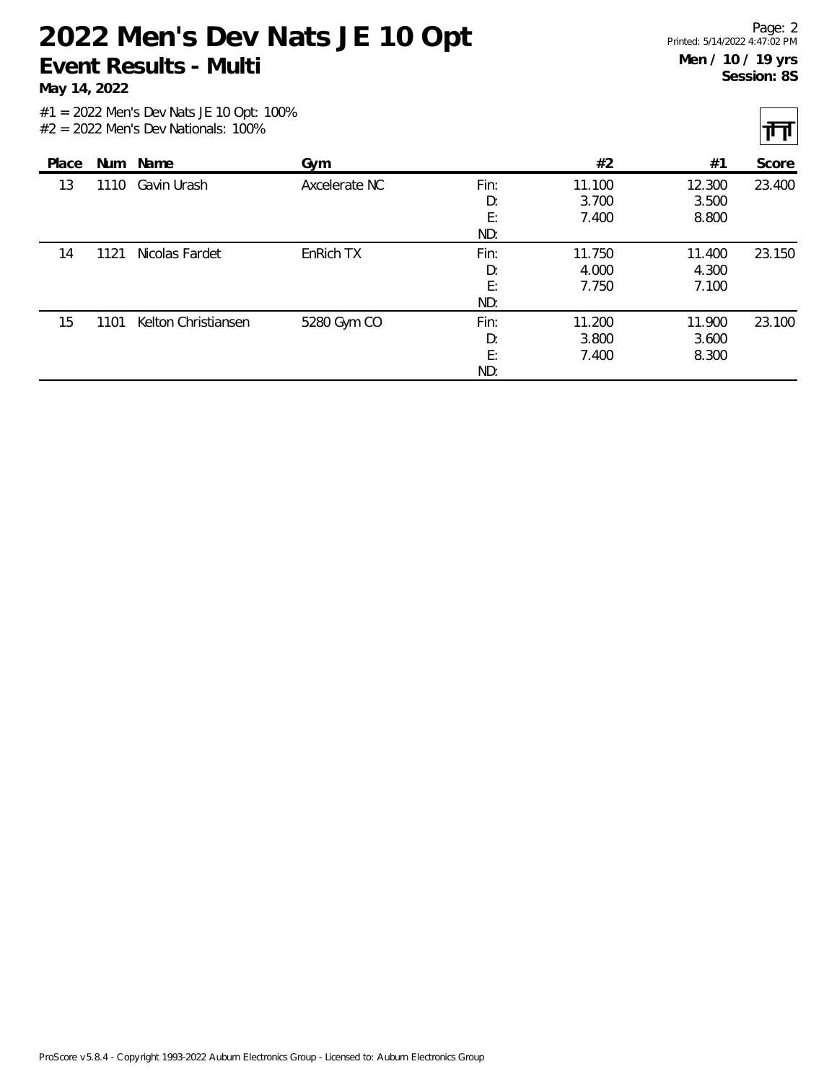**May 14, 2022**

त्ता

|       |      |                     |               |                         |                          |                          | . .    |
|-------|------|---------------------|---------------|-------------------------|--------------------------|--------------------------|--------|
| Place |      | Num Name            | Gym           |                         | #2                       | #1                       | Score  |
| 13    | 1110 | Gavin Urash         | Axcelerate NC | Fin:<br>D:<br>E:<br>ND: | 11.100<br>3.700<br>7.400 | 12.300<br>3.500<br>8.800 | 23.400 |
| 14    | 1121 | Nicolas Fardet      | EnRich TX     | Fin:<br>D:<br>E:<br>ND: | 11.750<br>4.000<br>7.750 | 11.400<br>4.300<br>7.100 | 23.150 |
| 15    | 1101 | Kelton Christiansen | 5280 Gym CO   | Fin:<br>D:<br>E:<br>ND: | 11.200<br>3.800<br>7.400 | 11.900<br>3.600<br>8.300 | 23.100 |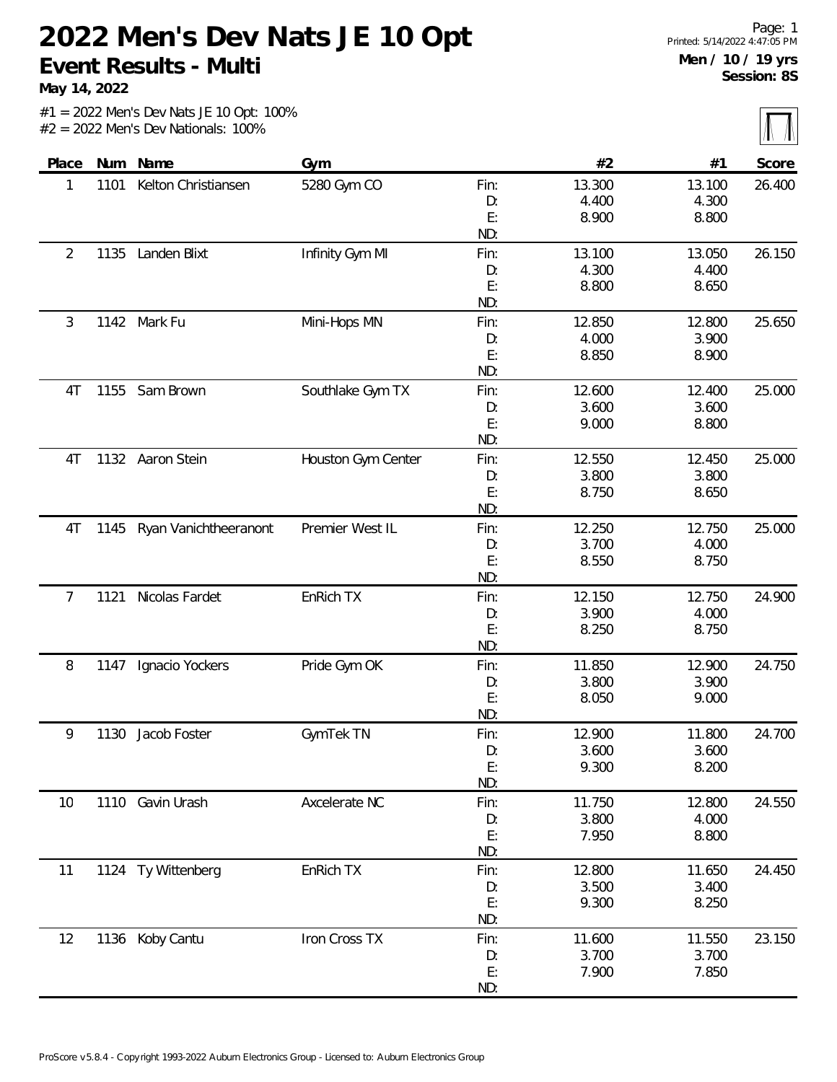**May 14, 2022**

 $\sqrt{\mathbb{N}}$ 

|  |  | $#1 = 2022$ Men's Dev Nats JE 10 Opt: 100% |  |  |
|--|--|--------------------------------------------|--|--|
|  |  | $#2 = 2022$ Men's Dev Nationals: 100%      |  |  |

|                |      |                       |                    |            |                |                 | $1 - 1 - 1 - 1$ |
|----------------|------|-----------------------|--------------------|------------|----------------|-----------------|-----------------|
| Place          | Num  | Name                  | Gym                |            | #2             | #1              | Score           |
| 1              | 1101 | Kelton Christiansen   | 5280 Gym CO        | Fin:       | 13.300         | 13.100          | 26.400          |
|                |      |                       |                    | D:         | 4.400          | 4.300           |                 |
|                |      |                       |                    | E:         | 8.900          | 8.800           |                 |
|                |      |                       |                    | ND:        |                |                 |                 |
| $\overline{c}$ | 1135 | Landen Blixt          | Infinity Gym MI    | Fin:       | 13.100         | 13.050          | 26.150          |
|                |      |                       |                    | D:         | 4.300          | 4.400           |                 |
|                |      |                       |                    | E:         | 8.800          | 8.650           |                 |
|                |      |                       |                    | ND:        |                |                 |                 |
| 3              | 1142 | Mark Fu               | Mini-Hops MN       | Fin:       | 12.850         | 12.800          | 25.650          |
|                |      |                       |                    | D:         | 4.000          | 3.900           |                 |
|                |      |                       |                    | E:         | 8.850          | 8.900           |                 |
|                |      |                       |                    | ND:        |                |                 |                 |
| 4T             | 1155 | Sam Brown             | Southlake Gym TX   | Fin:       | 12.600         | 12.400          | 25.000          |
|                |      |                       |                    | D:         | 3.600          | 3.600           |                 |
|                |      |                       |                    | E:<br>ND:  | 9.000          | 8.800           |                 |
|                |      |                       |                    |            |                |                 |                 |
| 4T             |      | 1132 Aaron Stein      | Houston Gym Center | Fin:       | 12.550         | 12.450          | 25.000          |
|                |      |                       |                    | D:<br>E:   | 3.800<br>8.750 | 3.800<br>8.650  |                 |
|                |      |                       |                    | ND:        |                |                 |                 |
| 4T             | 1145 | Ryan Vanichtheeranont | Premier West IL    | Fin:       | 12.250         | 12.750          | 25.000          |
|                |      |                       |                    | D:         | 3.700          | 4.000           |                 |
|                |      |                       |                    | E:         | 8.550          | 8.750           |                 |
|                |      |                       |                    | ND:        |                |                 |                 |
| 7              | 1121 | Nicolas Fardet        | EnRich TX          | Fin:       | 12.150         | 12.750          | 24.900          |
|                |      |                       |                    | D:         | 3.900          | 4.000           |                 |
|                |      |                       |                    | E:         | 8.250          | 8.750           |                 |
|                |      |                       |                    | ND:        |                |                 |                 |
| 8              | 1147 | Ignacio Yockers       | Pride Gym OK       | Fin:       | 11.850         | 12.900          | 24.750          |
|                |      |                       |                    | D:         | 3.800          | 3.900           |                 |
|                |      |                       |                    | E:         | 8.050          | 9.000           |                 |
|                |      |                       |                    | ND:        |                |                 |                 |
| 9              | 1130 | Jacob Foster          | GymTek TN          | Fin:       | 12.900         | 11.800          | 24.700          |
|                |      |                       |                    | D:         | 3.600          | 3.600           |                 |
|                |      |                       |                    | E:         | 9.300          | 8.200           |                 |
|                |      |                       |                    | ND:        |                |                 |                 |
| 10             | 1110 | Gavin Urash           | Axcelerate NC      | Fin:       | 11.750         | 12.800          | 24.550          |
|                |      |                       |                    | D:         | 3.800          | 4.000           |                 |
|                |      |                       |                    | E:         | 7.950          | 8.800           |                 |
|                |      |                       |                    | ND:        |                |                 |                 |
| 11             |      | 1124 Ty Wittenberg    | EnRich TX          | Fin:       | 12.800         | 11.650          | 24.450          |
|                |      |                       |                    | D:<br>E:   | 3.500          | 3.400           |                 |
|                |      |                       |                    | ND:        | 9.300          | 8.250           |                 |
|                |      |                       | Iron Cross TX      |            | 11.600         |                 | 23.150          |
| 12             |      | 1136 Koby Cantu       |                    | Fin:<br>D: | 3.700          | 11.550<br>3.700 |                 |
|                |      |                       |                    | E:         | 7.900          | 7.850           |                 |
|                |      |                       |                    | ND:        |                |                 |                 |
|                |      |                       |                    |            |                |                 |                 |